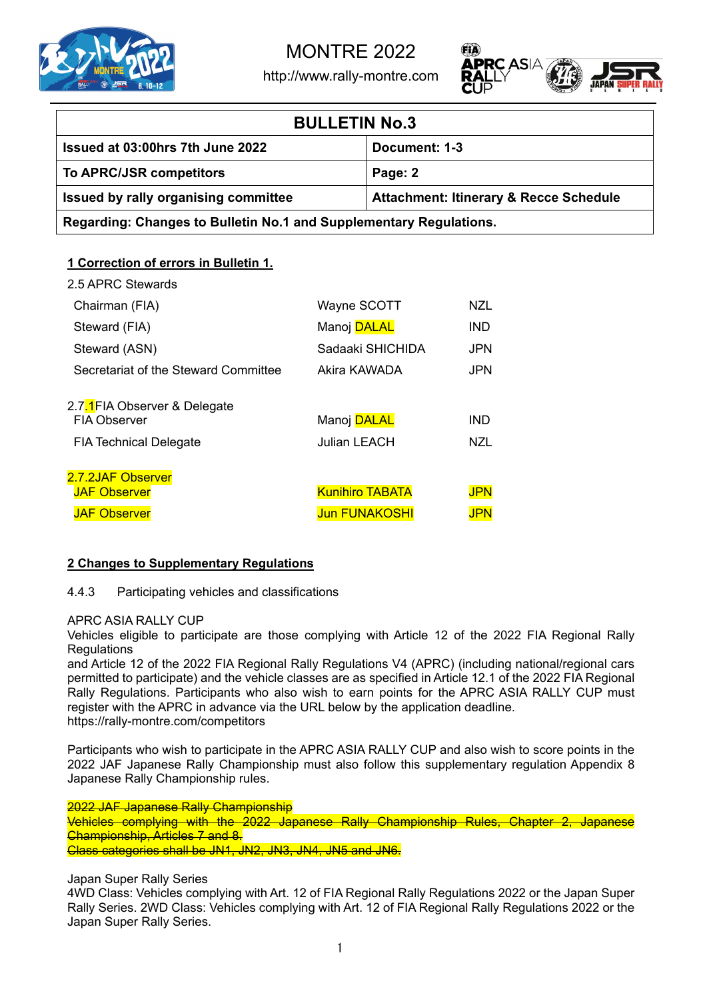

http://www.rally-montre.com



| <b>BULLETIN No.3</b>                                               |                                                   |  |
|--------------------------------------------------------------------|---------------------------------------------------|--|
| Issued at 03:00hrs 7th June 2022                                   | Document: 1-3                                     |  |
| To APRC/JSR competitors                                            | Page: 2                                           |  |
| Issued by rally organising committee                               | <b>Attachment: Itinerary &amp; Recce Schedule</b> |  |
| Regarding: Changes to Bulletin No.1 and Supplementary Regulations. |                                                   |  |

# **1 Correction of errors in Bulletin 1.**

| 2.5 APRC Stewards                                    |                        |            |
|------------------------------------------------------|------------------------|------------|
| Chairman (FIA)                                       | Wayne SCOTT            | NZL        |
| Steward (FIA)                                        | Manoj <b>DALAL</b>     | IND        |
| Steward (ASN)                                        | Sadaaki SHICHIDA       | <b>JPN</b> |
| Secretariat of the Steward Committee                 | Akira KAWADA           | <b>JPN</b> |
| 2.7.1 FIA Observer & Delegate<br><b>FIA Observer</b> | Manoj <b>DALAL</b>     | IND        |
| <b>FIA Technical Delegate</b>                        | Julian LEACH           | NZL        |
| 2.7.2JAF Observer                                    |                        |            |
| <b>JAF Observer</b>                                  | <b>Kunihiro TABATA</b> | JPN        |
| <b>JAF Observer</b>                                  | <b>Jun FUNAKOSHI</b>   | JPN        |

# **2 Changes to Supplementary Regulations**

4.4.3 Participating vehicles and classifications

## APRC ASIA RALLY CUP

Vehicles eligible to participate are those complying with Article 12 of the 2022 FIA Regional Rally **Regulations** 

and Article 12 of the 2022 FIA Regional Rally Regulations V4 (APRC) (including national/regional cars permitted to participate) and the vehicle classes are as specified in Article 12.1 of the 2022 FIA Regional Rally Regulations. Participants who also wish to earn points for the APRC ASIA RALLY CUP must register with the APRC in advance via the URL below by the application deadline. https://rally-montre.com/competitors

Participants who wish to participate in the APRC ASIA RALLY CUP and also wish to score points in the 2022 JAF Japanese Rally Championship must also follow this supplementary regulation Appendix 8 Japanese Rally Championship rules.

2022 JAF Japanese Rally Championship Vehicles complying with the 2022 Japanese Rally Championship Rules, Chapter 2, Japanese Championship, Articles 7 and 8. Class categories shall be JN1, JN2, JN3, JN4, JN5 and JN6.

# Japan Super Rally Series

4WD Class: Vehicles complying with Art. 12 of FIA Regional Rally Regulations 2022 or the Japan Super Rally Series. 2WD Class: Vehicles complying with Art. 12 of FIA Regional Rally Regulations 2022 or the Japan Super Rally Series.